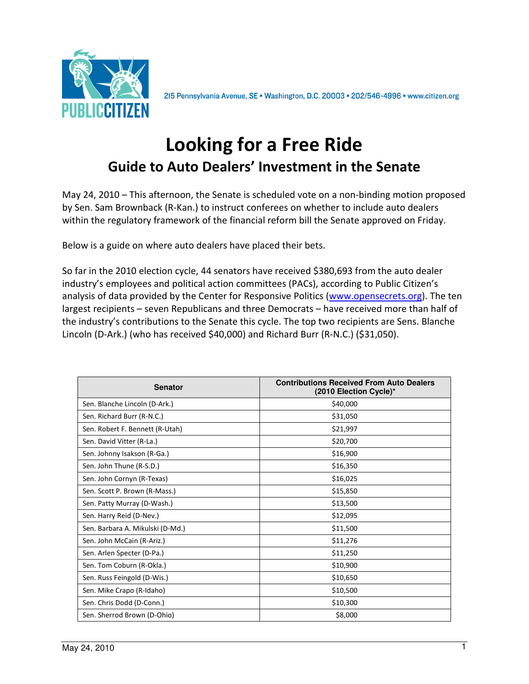

2I5 Pennsylvania Avenue, SE · Washington, D.C. 20003 · 202/546-4996 · www.citizen.org

## Looking for a Free Ride Guide to Auto Dealers' Investment in the Senate

May 24, 2010 – This afternoon, the Senate is scheduled vote on a non-binding motion proposed by Sen. Sam Brownback (R-Kan.) to instruct conferees on whether to include auto dealers within the regulatory framework of the financial reform bill the Senate approved on Friday.

Below is a guide on where auto dealers have placed their bets.

So far in the 2010 election cycle, 44 senators have received \$380,693 from the auto dealer industry's employees and political action committees (PACs), according to Public Citizen's analysis of data provided by the Center for Responsive Politics (www.opensecrets.org). The ten largest recipients – seven Republicans and three Democrats – have received more than half of the industry's contributions to the Senate this cycle. The top two recipients are Sens. Blanche Lincoln (D-Ark.) (who has received \$40,000) and Richard Burr (R-N.C.) (\$31,050).

| <b>Senator</b>                   | <b>Contributions Received From Auto Dealers</b><br>(2010 Election Cycle)* |
|----------------------------------|---------------------------------------------------------------------------|
| Sen. Blanche Lincoln (D-Ark.)    | \$40,000                                                                  |
| Sen. Richard Burr (R-N.C.)       | \$31,050                                                                  |
| Sen. Robert F. Bennett (R-Utah)  | \$21,997                                                                  |
| Sen. David Vitter (R-La.)        | \$20,700                                                                  |
| Sen. Johnny Isakson (R-Ga.)      | \$16,900                                                                  |
| Sen. John Thune (R-S.D.)         | \$16,350                                                                  |
| Sen. John Cornyn (R-Texas)       | \$16,025                                                                  |
| Sen. Scott P. Brown (R-Mass.)    | \$15,850                                                                  |
| Sen. Patty Murray (D-Wash.)      | \$13,500                                                                  |
| Sen. Harry Reid (D-Nev.)         | \$12,095                                                                  |
| Sen. Barbara A. Mikulski (D-Md.) | \$11,500                                                                  |
| Sen. John McCain (R-Ariz.)       | \$11,276                                                                  |
| Sen. Arlen Specter (D-Pa.)       | \$11,250                                                                  |
| Sen. Tom Coburn (R-Okla.)        | \$10,900                                                                  |
| Sen. Russ Feingold (D-Wis.)      | \$10,650                                                                  |
| Sen. Mike Crapo (R-Idaho)        | \$10,500                                                                  |
| Sen. Chris Dodd (D-Conn.)        | \$10,300                                                                  |
| Sen. Sherrod Brown (D-Ohio)      | \$8,000                                                                   |